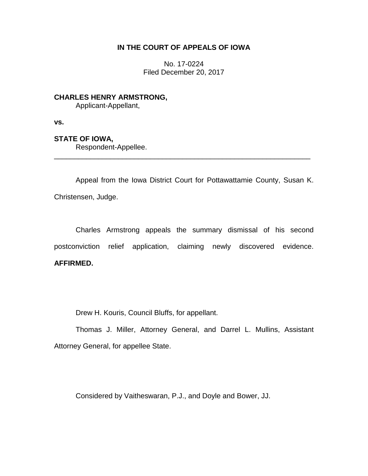## **IN THE COURT OF APPEALS OF IOWA**

No. 17-0224 Filed December 20, 2017

**CHARLES HENRY ARMSTRONG,** Applicant-Appellant,

**vs.**

## **STATE OF IOWA,**

Respondent-Appellee.

Appeal from the Iowa District Court for Pottawattamie County, Susan K. Christensen, Judge.

\_\_\_\_\_\_\_\_\_\_\_\_\_\_\_\_\_\_\_\_\_\_\_\_\_\_\_\_\_\_\_\_\_\_\_\_\_\_\_\_\_\_\_\_\_\_\_\_\_\_\_\_\_\_\_\_\_\_\_\_\_\_\_\_

Charles Armstrong appeals the summary dismissal of his second postconviction relief application, claiming newly discovered evidence. **AFFIRMED.**

Drew H. Kouris, Council Bluffs, for appellant.

Thomas J. Miller, Attorney General, and Darrel L. Mullins, Assistant Attorney General, for appellee State.

Considered by Vaitheswaran, P.J., and Doyle and Bower, JJ.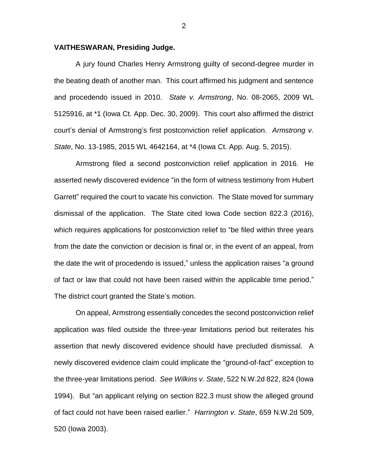## **VAITHESWARAN, Presiding Judge.**

A jury found Charles Henry Armstrong guilty of second-degree murder in the beating death of another man. This court affirmed his judgment and sentence and procedendo issued in 2010. *State v. Armstrong*, No. 08-2065, 2009 WL 5125916, at \*1 (Iowa Ct. App. Dec. 30, 2009). This court also affirmed the district court's denial of Armstrong's first postconviction relief application. *Armstrong v. State*, No. 13-1985, 2015 WL 4642164, at \*4 (Iowa Ct. App. Aug. 5, 2015).

Armstrong filed a second postconviction relief application in 2016. He asserted newly discovered evidence "in the form of witness testimony from Hubert Garrett" required the court to vacate his conviction. The State moved for summary dismissal of the application. The State cited Iowa Code section 822.3 (2016), which requires applications for postconviction relief to "be filed within three years from the date the conviction or decision is final or, in the event of an appeal, from the date the writ of procedendo is issued," unless the application raises "a ground of fact or law that could not have been raised within the applicable time period." The district court granted the State's motion.

On appeal, Armstrong essentially concedes the second postconviction relief application was filed outside the three-year limitations period but reiterates his assertion that newly discovered evidence should have precluded dismissal. A newly discovered evidence claim could implicate the "ground-of-fact" exception to the three-year limitations period. *See Wilkins v. State*, 522 N.W.2d 822, 824 (Iowa 1994). But "an applicant relying on section 822.3 must show the alleged ground of fact could not have been raised earlier." *Harrington v. State*, 659 N.W.2d 509, 520 (Iowa 2003).

2